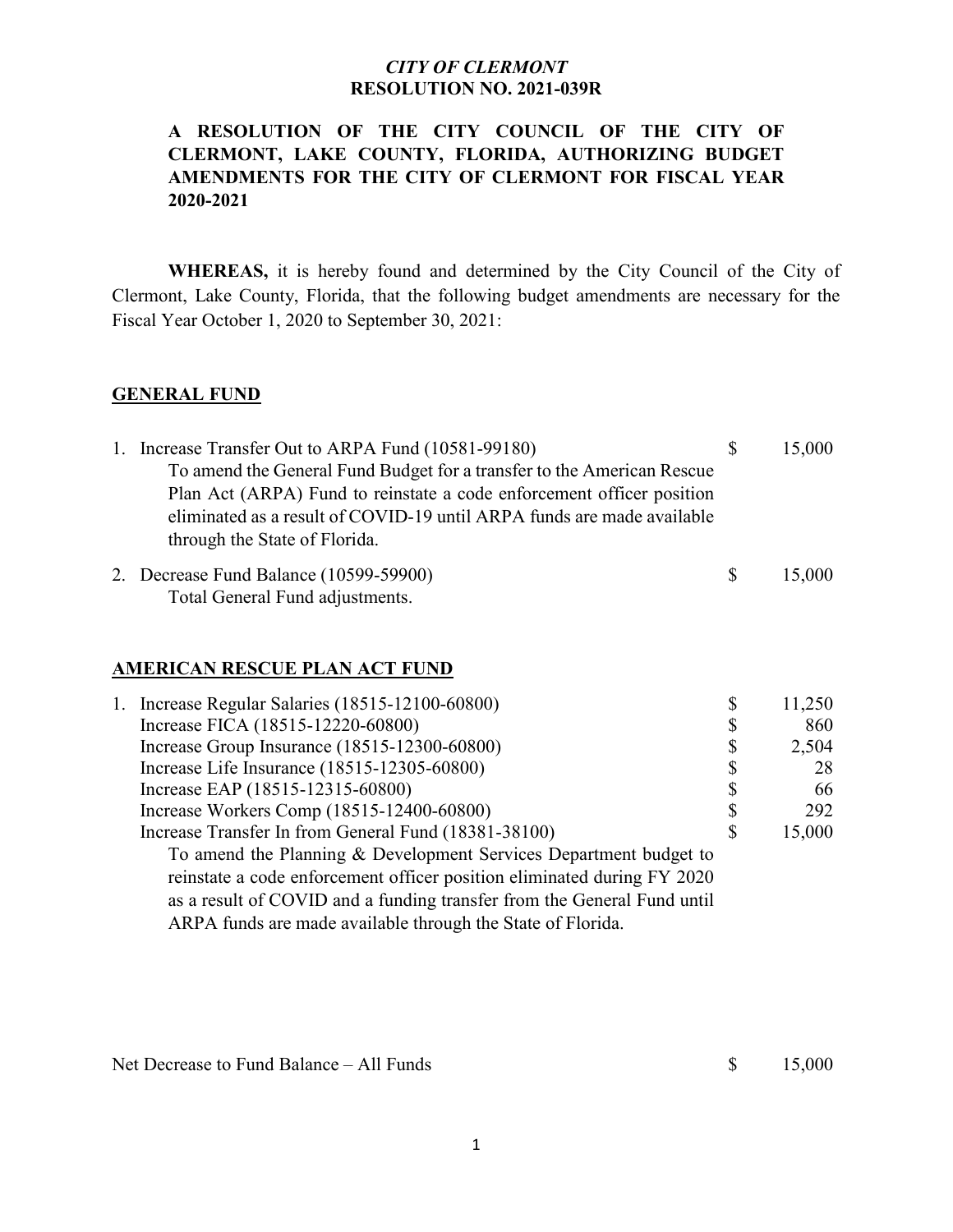### *CITY OF CLERMONT* **RESOLUTION NO. 2021-039R**

## **A RESOLUTION OF THE CITY COUNCIL OF THE CITY OF CLERMONT, LAKE COUNTY, FLORIDA, AUTHORIZING BUDGET AMENDMENTS FOR THE CITY OF CLERMONT FOR FISCAL YEAR 2020-2021**

**WHEREAS,** it is hereby found and determined by the City Council of the City of Clermont, Lake County, Florida, that the following budget amendments are necessary for the Fiscal Year October 1, 2020 to September 30, 2021:

#### **GENERAL FUND**

|  | 1. Increase Transfer Out to ARPA Fund (10581-99180)                    | S            | 15,000 |
|--|------------------------------------------------------------------------|--------------|--------|
|  | To amend the General Fund Budget for a transfer to the American Rescue |              |        |
|  | Plan Act (ARPA) Fund to reinstate a code enforcement officer position  |              |        |
|  | eliminated as a result of COVID-19 until ARPA funds are made available |              |        |
|  | through the State of Florida.                                          |              |        |
|  | 2. Decrease Fund Balance (10599-59900)                                 | <sup>S</sup> | 15,000 |
|  | Total General Fund adjustments.                                        |              |        |

# **AMERICAN RESCUE PLAN ACT FUND**

|  | 1. Increase Regular Salaries (18515-12100-60800)                        | S  | 11,250 |
|--|-------------------------------------------------------------------------|----|--------|
|  | Increase FICA (18515-12220-60800)                                       | \$ | 860    |
|  | Increase Group Insurance (18515-12300-60800)                            | \$ | 2,504  |
|  | Increase Life Insurance (18515-12305-60800)                             | S  | 28     |
|  | Increase EAP (18515-12315-60800)                                        |    | 66     |
|  | Increase Workers Comp (18515-12400-60800)                               |    | 292    |
|  | Increase Transfer In from General Fund (18381-38100)                    | \$ | 15,000 |
|  | To amend the Planning & Development Services Department budget to       |    |        |
|  | reinstate a code enforcement officer position eliminated during FY 2020 |    |        |
|  | as a result of COVID and a funding transfer from the General Fund until |    |        |
|  | ARPA funds are made available through the State of Florida.             |    |        |

Net Decrease to Fund Balance – All Funds  $\qquad \qquad$  \$ 15,000